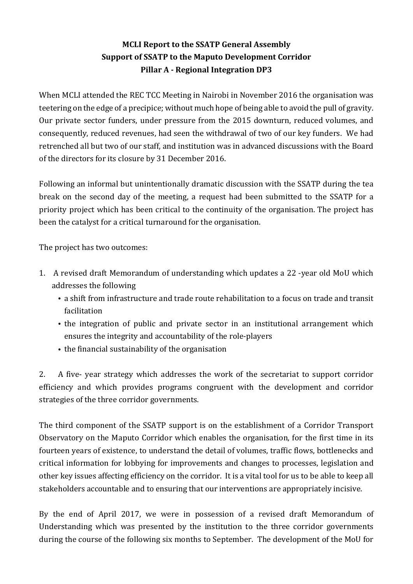## **MCLI Report to the SSATP General Assembly Support of SSATP to the Maputo Development Corridor Pillar A - Regional Integration DP3**

When MCLI attended the REC TCC Meeting in Nairobi in November 2016 the organisation was teetering on the edge of a precipice; without much hope of being able to avoid the pull of gravity. Our private sector funders, under pressure from the 2015 downturn, reduced volumes, and consequently, reduced revenues, had seen the withdrawal of two of our key funders. We had retrenched all but two of our staff, and institution was in advanced discussions with the Board of the directors for its closure by 31 December 2016.

Following an informal but unintentionally dramatic discussion with the SSATP during the tea break on the second day of the meeting, a request had been submitted to the SSATP for a priority project which has been critical to the continuity of the organisation. The project has been the catalyst for a critical turnaround for the organisation.

The project has two outcomes:

- 1. A revised draft Memorandum of understanding which updates a 22 -year old MoU which addresses the following
	- a shift from infrastructure and trade route rehabilitation to a focus on trade and transit facilitation
	- the integration of public and private sector in an institutional arrangement which ensures the integrity and accountability of the role-players
	- the financial sustainability of the organisation

2. A five- year strategy which addresses the work of the secretariat to support corridor efficiency and which provides programs congruent with the development and corridor strategies of the three corridor governments.

The third component of the SSATP support is on the establishment of a Corridor Transport Observatory on the Maputo Corridor which enables the organisation, for the first time in its fourteen years of existence, to understand the detail of volumes, traffic flows, bottlenecks and critical information for lobbying for improvements and changes to processes, legislation and other key issues affecting efficiency on the corridor. It is a vital tool for us to be able to keep all stakeholders accountable and to ensuring that our interventions are appropriately incisive.

By the end of April 2017, we were in possession of a revised draft Memorandum of Understanding which was presented by the institution to the three corridor governments during the course of the following six months to September. The development of the MoU for